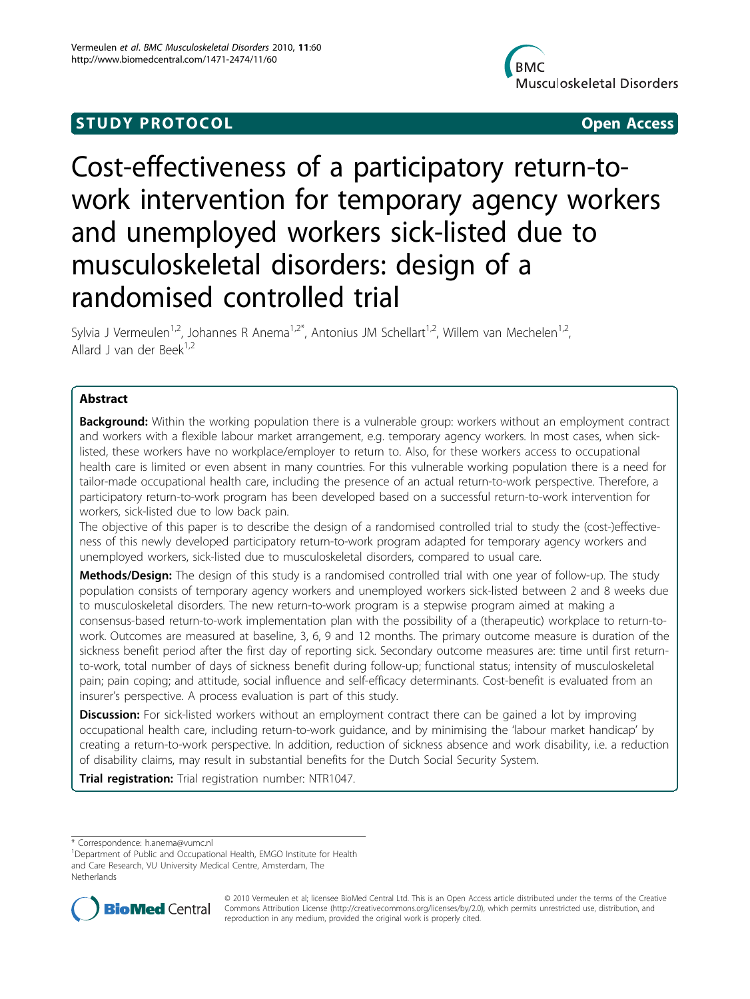## **STUDY PROTOCOL** And the state of the state of the state of the state of the state of the state of the state of the state of the state of the state of the state of the state of the state of the state of the state of the st



# Cost-effectiveness of a participatory return-towork intervention for temporary agency workers and unemployed workers sick-listed due to musculoskeletal disorders: design of a randomised controlled trial

Sylvia J Vermeulen<sup>1,2</sup>, Johannes R Anema<sup>1,2\*</sup>, Antonius JM Schellart<sup>1,2</sup>, Willem van Mechelen<sup>1,2</sup>, Allard J van der Beek<sup>1,2</sup>

## Abstract

**Background:** Within the working population there is a vulnerable group: workers without an employment contract and workers with a flexible labour market arrangement, e.g. temporary agency workers. In most cases, when sicklisted, these workers have no workplace/employer to return to. Also, for these workers access to occupational health care is limited or even absent in many countries. For this vulnerable working population there is a need for tailor-made occupational health care, including the presence of an actual return-to-work perspective. Therefore, a participatory return-to-work program has been developed based on a successful return-to-work intervention for workers, sick-listed due to low back pain.

The objective of this paper is to describe the design of a randomised controlled trial to study the (cost-)effectiveness of this newly developed participatory return-to-work program adapted for temporary agency workers and unemployed workers, sick-listed due to musculoskeletal disorders, compared to usual care.

Methods/Design: The design of this study is a randomised controlled trial with one year of follow-up. The study population consists of temporary agency workers and unemployed workers sick-listed between 2 and 8 weeks due to musculoskeletal disorders. The new return-to-work program is a stepwise program aimed at making a consensus-based return-to-work implementation plan with the possibility of a (therapeutic) workplace to return-towork. Outcomes are measured at baseline, 3, 6, 9 and 12 months. The primary outcome measure is duration of the sickness benefit period after the first day of reporting sick. Secondary outcome measures are: time until first returnto-work, total number of days of sickness benefit during follow-up; functional status; intensity of musculoskeletal pain; pain coping; and attitude, social influence and self-efficacy determinants. Cost-benefit is evaluated from an insurer's perspective. A process evaluation is part of this study.

**Discussion:** For sick-listed workers without an employment contract there can be gained a lot by improving occupational health care, including return-to-work guidance, and by minimising the 'labour market handicap' by creating a return-to-work perspective. In addition, reduction of sickness absence and work disability, i.e. a reduction of disability claims, may result in substantial benefits for the Dutch Social Security System.

Trial registration: Trial registration number: NTR1047.

\* Correspondence: [h.anema@vumc.nl](mailto:h.anema@vumc.nl)

<sup>1</sup>Department of Public and Occupational Health, EMGO Institute for Health and Care Research, VU University Medical Centre, Amsterdam, The **Netherlands** 



© 2010 Vermeulen et al; licensee BioMed Central Ltd. This is an Open Access article distributed under the terms of the Creative Commons Attribution License [\(http://creativecommons.org/licenses/by/2.0](http://creativecommons.org/licenses/by/2.0)), which permits unrestricted use, distribution, and reproduction in any medium, provided the original work is properly cited.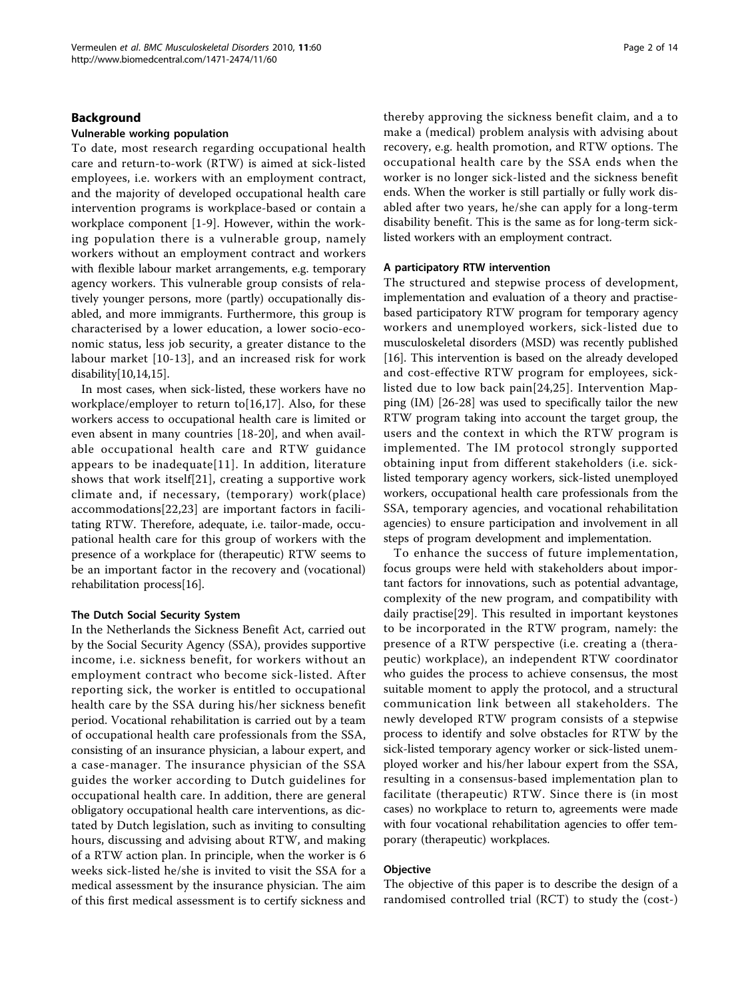#### Background

#### Vulnerable working population

To date, most research regarding occupational health care and return-to-work (RTW) is aimed at sick-listed employees, i.e. workers with an employment contract, and the majority of developed occupational health care intervention programs is workplace-based or contain a workplace component [[1](#page-11-0)-[9\]](#page-11-0). However, within the working population there is a vulnerable group, namely workers without an employment contract and workers with flexible labour market arrangements, e.g. temporary agency workers. This vulnerable group consists of relatively younger persons, more (partly) occupationally disabled, and more immigrants. Furthermore, this group is characterised by a lower education, a lower socio-economic status, less job security, a greater distance to the labour market [\[10-13\]](#page-11-0), and an increased risk for work disability[[10,14,15](#page-11-0)].

In most cases, when sick-listed, these workers have no workplace/employer to return to[[16,17](#page-11-0)]. Also, for these workers access to occupational health care is limited or even absent in many countries [[18-](#page-11-0)[20](#page-12-0)], and when available occupational health care and RTW guidance appears to be inadequate[[11\]](#page-11-0). In addition, literature shows that work itself[\[21\]](#page-12-0), creating a supportive work climate and, if necessary, (temporary) work(place) accommodations[[22,23](#page-12-0)] are important factors in facilitating RTW. Therefore, adequate, i.e. tailor-made, occupational health care for this group of workers with the presence of a workplace for (therapeutic) RTW seems to be an important factor in the recovery and (vocational) rehabilitation process[\[16](#page-11-0)].

#### The Dutch Social Security System

In the Netherlands the Sickness Benefit Act, carried out by the Social Security Agency (SSA), provides supportive income, i.e. sickness benefit, for workers without an employment contract who become sick-listed. After reporting sick, the worker is entitled to occupational health care by the SSA during his/her sickness benefit period. Vocational rehabilitation is carried out by a team of occupational health care professionals from the SSA, consisting of an insurance physician, a labour expert, and a case-manager. The insurance physician of the SSA guides the worker according to Dutch guidelines for occupational health care. In addition, there are general obligatory occupational health care interventions, as dictated by Dutch legislation, such as inviting to consulting hours, discussing and advising about RTW, and making of a RTW action plan. In principle, when the worker is 6 weeks sick-listed he/she is invited to visit the SSA for a medical assessment by the insurance physician. The aim of this first medical assessment is to certify sickness and thereby approving the sickness benefit claim, and a to make a (medical) problem analysis with advising about recovery, e.g. health promotion, and RTW options. The occupational health care by the SSA ends when the worker is no longer sick-listed and the sickness benefit ends. When the worker is still partially or fully work disabled after two years, he/she can apply for a long-term disability benefit. This is the same as for long-term sicklisted workers with an employment contract.

#### A participatory RTW intervention

The structured and stepwise process of development, implementation and evaluation of a theory and practisebased participatory RTW program for temporary agency workers and unemployed workers, sick-listed due to musculoskeletal disorders (MSD) was recently published [[16\]](#page-11-0). This intervention is based on the already developed and cost-effective RTW program for employees, sicklisted due to low back pain[[24,25\]](#page-12-0). Intervention Mapping (IM) [\[26](#page-12-0)-[28\]](#page-12-0) was used to specifically tailor the new RTW program taking into account the target group, the users and the context in which the RTW program is implemented. The IM protocol strongly supported obtaining input from different stakeholders (i.e. sicklisted temporary agency workers, sick-listed unemployed workers, occupational health care professionals from the SSA, temporary agencies, and vocational rehabilitation agencies) to ensure participation and involvement in all steps of program development and implementation.

To enhance the success of future implementation, focus groups were held with stakeholders about important factors for innovations, such as potential advantage, complexity of the new program, and compatibility with daily practise[[29\]](#page-12-0). This resulted in important keystones to be incorporated in the RTW program, namely: the presence of a RTW perspective (i.e. creating a (therapeutic) workplace), an independent RTW coordinator who guides the process to achieve consensus, the most suitable moment to apply the protocol, and a structural communication link between all stakeholders. The newly developed RTW program consists of a stepwise process to identify and solve obstacles for RTW by the sick-listed temporary agency worker or sick-listed unemployed worker and his/her labour expert from the SSA, resulting in a consensus-based implementation plan to facilitate (therapeutic) RTW. Since there is (in most cases) no workplace to return to, agreements were made with four vocational rehabilitation agencies to offer temporary (therapeutic) workplaces.

#### **Objective**

The objective of this paper is to describe the design of a randomised controlled trial (RCT) to study the (cost-)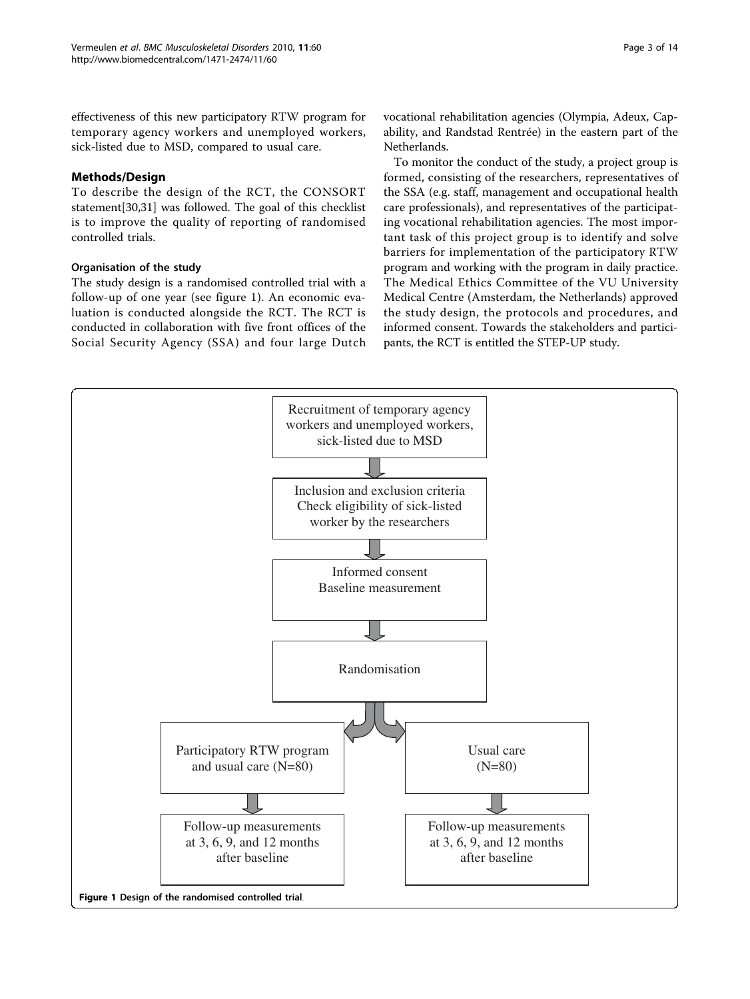effectiveness of this new participatory RTW program for temporary agency workers and unemployed workers, sick-listed due to MSD, compared to usual care.

## Methods/Design

To describe the design of the RCT, the CONSORT statement[[30,31\]](#page-12-0) was followed. The goal of this checklist is to improve the quality of reporting of randomised controlled trials.

## Organisation of the study

The study design is a randomised controlled trial with a follow-up of one year (see figure 1). An economic evaluation is conducted alongside the RCT. The RCT is conducted in collaboration with five front offices of the Social Security Agency (SSA) and four large Dutch vocational rehabilitation agencies (Olympia, Adeux, Capability, and Randstad Rentrée) in the eastern part of the Netherlands.

To monitor the conduct of the study, a project group is formed, consisting of the researchers, representatives of the SSA (e.g. staff, management and occupational health care professionals), and representatives of the participating vocational rehabilitation agencies. The most important task of this project group is to identify and solve barriers for implementation of the participatory RTW program and working with the program in daily practice. The Medical Ethics Committee of the VU University Medical Centre (Amsterdam, the Netherlands) approved the study design, the protocols and procedures, and informed consent. Towards the stakeholders and participants, the RCT is entitled the STEP-UP study.

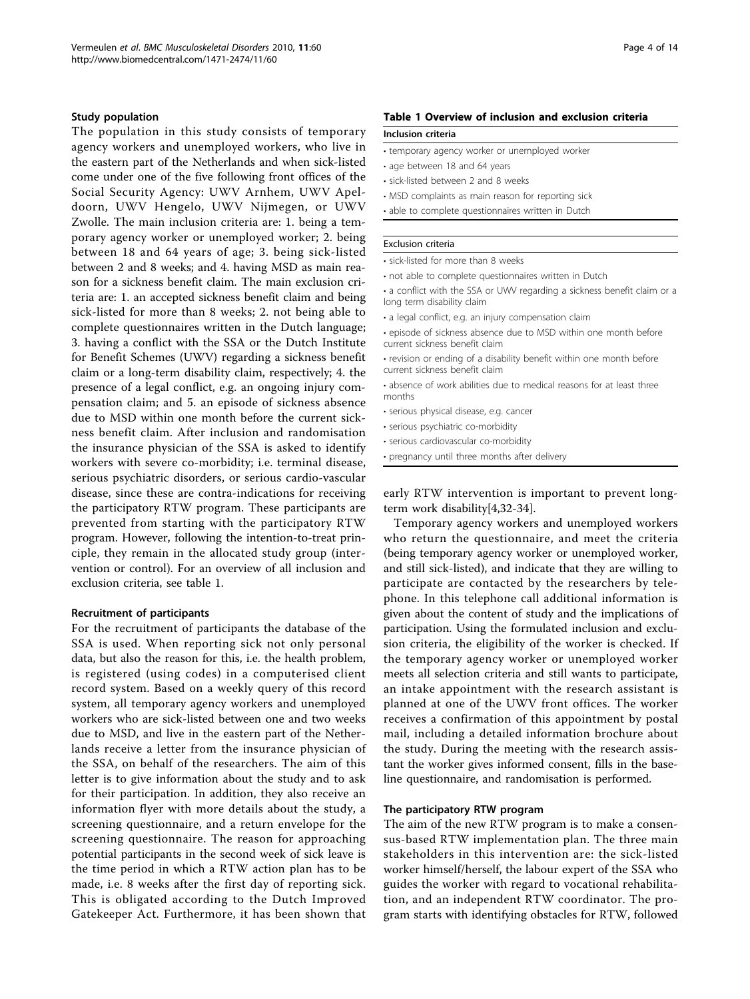#### Study population

The population in this study consists of temporary agency workers and unemployed workers, who live in the eastern part of the Netherlands and when sick-listed come under one of the five following front offices of the Social Security Agency: UWV Arnhem, UWV Apeldoorn, UWV Hengelo, UWV Nijmegen, or UWV Zwolle. The main inclusion criteria are: 1. being a temporary agency worker or unemployed worker; 2. being between 18 and 64 years of age; 3. being sick-listed between 2 and 8 weeks; and 4. having MSD as main reason for a sickness benefit claim. The main exclusion criteria are: 1. an accepted sickness benefit claim and being sick-listed for more than 8 weeks; 2. not being able to complete questionnaires written in the Dutch language; 3. having a conflict with the SSA or the Dutch Institute for Benefit Schemes (UWV) regarding a sickness benefit claim or a long-term disability claim, respectively; 4. the presence of a legal conflict, e.g. an ongoing injury compensation claim; and 5. an episode of sickness absence due to MSD within one month before the current sickness benefit claim. After inclusion and randomisation the insurance physician of the SSA is asked to identify workers with severe co-morbidity; i.e. terminal disease, serious psychiatric disorders, or serious cardio-vascular disease, since these are contra-indications for receiving the participatory RTW program. These participants are prevented from starting with the participatory RTW program. However, following the intention-to-treat principle, they remain in the allocated study group (intervention or control). For an overview of all inclusion and exclusion criteria, see table 1.

#### Recruitment of participants

For the recruitment of participants the database of the SSA is used. When reporting sick not only personal data, but also the reason for this, i.e. the health problem, is registered (using codes) in a computerised client record system. Based on a weekly query of this record system, all temporary agency workers and unemployed workers who are sick-listed between one and two weeks due to MSD, and live in the eastern part of the Netherlands receive a letter from the insurance physician of the SSA, on behalf of the researchers. The aim of this letter is to give information about the study and to ask for their participation. In addition, they also receive an information flyer with more details about the study, a screening questionnaire, and a return envelope for the screening questionnaire. The reason for approaching potential participants in the second week of sick leave is the time period in which a RTW action plan has to be made, i.e. 8 weeks after the first day of reporting sick. This is obligated according to the Dutch Improved Gatekeeper Act. Furthermore, it has been shown that

#### Table 1 Overview of inclusion and exclusion criteria

#### Inclusion criteria

- temporary agency worker or unemployed worker
- age between 18 and 64 years
- sick-listed between 2 and 8 weeks
- MSD complaints as main reason for reporting sick
- able to complete questionnaires written in Dutch

#### Exclusion criteria

• sick-listed for more than 8 weeks

- not able to complete questionnaires written in Dutch
- a conflict with the SSA or UWV regarding a sickness benefit claim or a long term disability claim
- a legal conflict, e.g. an injury compensation claim
- episode of sickness absence due to MSD within one month before current sickness benefit claim
- revision or ending of a disability benefit within one month before current sickness benefit claim
- absence of work abilities due to medical reasons for at least three months
- serious physical disease, e.g. cancer
- serious psychiatric co-morbidity
- serious cardiovascular co-morbidity
- pregnancy until three months after delivery

early RTW intervention is important to prevent longterm work disability[\[4](#page-11-0)[,32-34](#page-12-0)].

Temporary agency workers and unemployed workers who return the questionnaire, and meet the criteria (being temporary agency worker or unemployed worker, and still sick-listed), and indicate that they are willing to participate are contacted by the researchers by telephone. In this telephone call additional information is given about the content of study and the implications of participation. Using the formulated inclusion and exclusion criteria, the eligibility of the worker is checked. If the temporary agency worker or unemployed worker meets all selection criteria and still wants to participate, an intake appointment with the research assistant is planned at one of the UWV front offices. The worker receives a confirmation of this appointment by postal mail, including a detailed information brochure about the study. During the meeting with the research assistant the worker gives informed consent, fills in the baseline questionnaire, and randomisation is performed.

#### The participatory RTW program

The aim of the new RTW program is to make a consensus-based RTW implementation plan. The three main stakeholders in this intervention are: the sick-listed worker himself/herself, the labour expert of the SSA who guides the worker with regard to vocational rehabilitation, and an independent RTW coordinator. The program starts with identifying obstacles for RTW, followed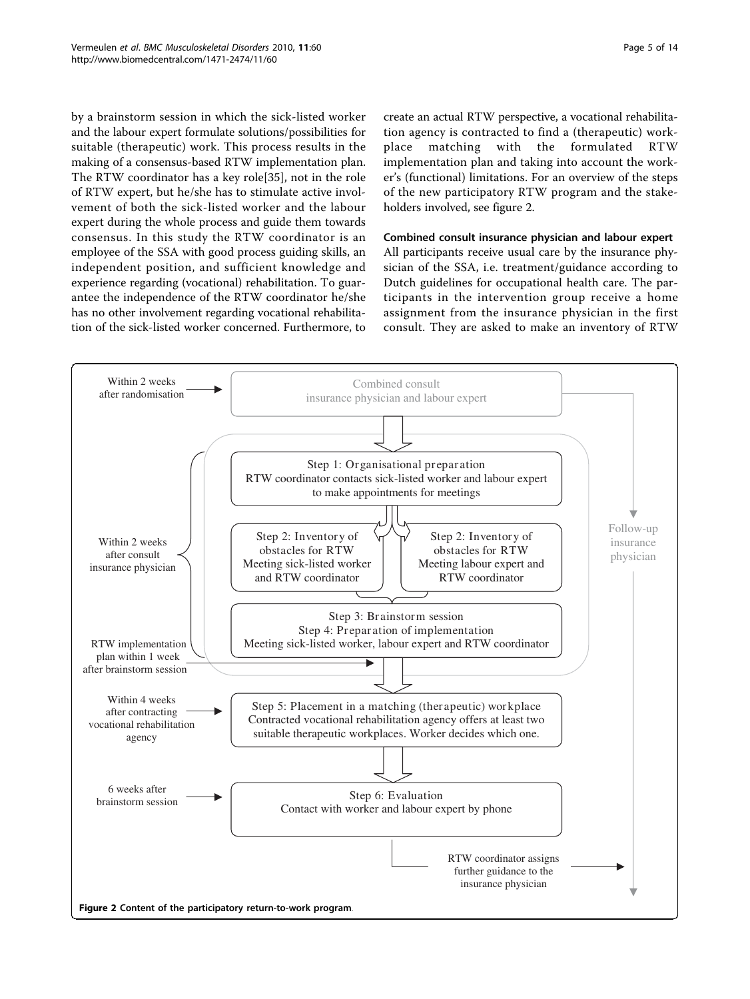by a brainstorm session in which the sick-listed worker and the labour expert formulate solutions/possibilities for suitable (therapeutic) work. This process results in the making of a consensus-based RTW implementation plan. The RTW coordinator has a key role[[35\]](#page-12-0), not in the role of RTW expert, but he/she has to stimulate active involvement of both the sick-listed worker and the labour expert during the whole process and guide them towards consensus. In this study the RTW coordinator is an employee of the SSA with good process guiding skills, an independent position, and sufficient knowledge and experience regarding (vocational) rehabilitation. To guarantee the independence of the RTW coordinator he/she has no other involvement regarding vocational rehabilitation of the sick-listed worker concerned. Furthermore, to

create an actual RTW perspective, a vocational rehabilitation agency is contracted to find a (therapeutic) workplace matching with the formulated RTW implementation plan and taking into account the worker's (functional) limitations. For an overview of the steps of the new participatory RTW program and the stakeholders involved, see figure 2.

## Combined consult insurance physician and labour expert

All participants receive usual care by the insurance physician of the SSA, i.e. treatment/guidance according to Dutch guidelines for occupational health care. The participants in the intervention group receive a home assignment from the insurance physician in the first consult. They are asked to make an inventory of RTW

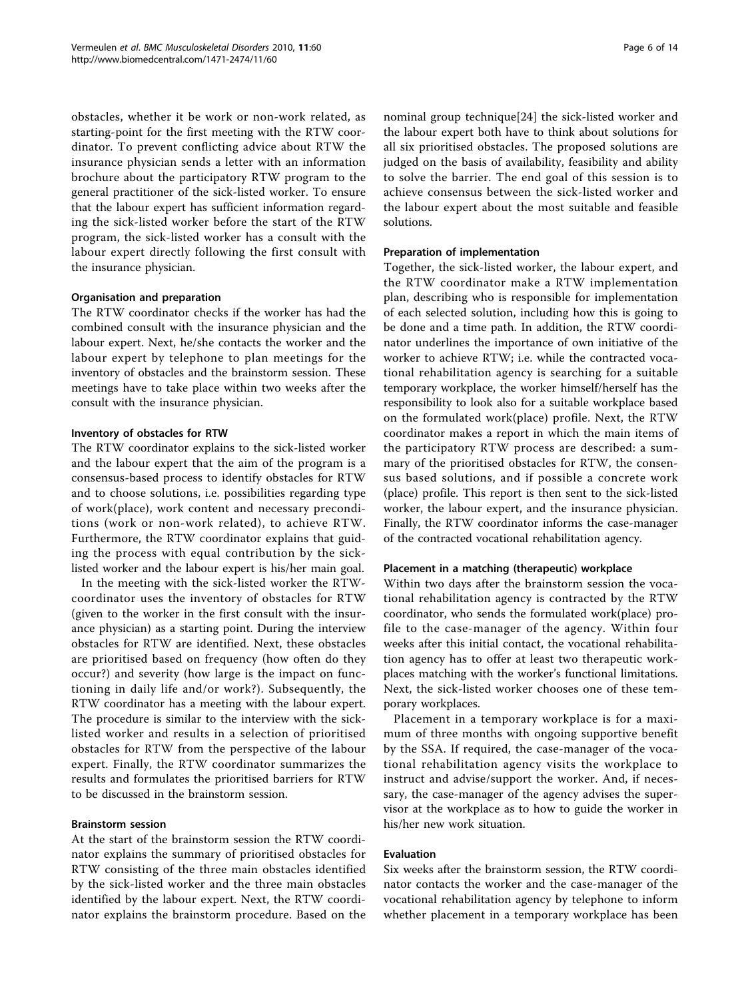obstacles, whether it be work or non-work related, as starting-point for the first meeting with the RTW coordinator. To prevent conflicting advice about RTW the insurance physician sends a letter with an information brochure about the participatory RTW program to the general practitioner of the sick-listed worker. To ensure that the labour expert has sufficient information regarding the sick-listed worker before the start of the RTW program, the sick-listed worker has a consult with the labour expert directly following the first consult with the insurance physician.

#### Organisation and preparation

The RTW coordinator checks if the worker has had the combined consult with the insurance physician and the labour expert. Next, he/she contacts the worker and the labour expert by telephone to plan meetings for the inventory of obstacles and the brainstorm session. These meetings have to take place within two weeks after the consult with the insurance physician.

## Inventory of obstacles for RTW

The RTW coordinator explains to the sick-listed worker and the labour expert that the aim of the program is a consensus-based process to identify obstacles for RTW and to choose solutions, i.e. possibilities regarding type of work(place), work content and necessary preconditions (work or non-work related), to achieve RTW. Furthermore, the RTW coordinator explains that guiding the process with equal contribution by the sicklisted worker and the labour expert is his/her main goal.

In the meeting with the sick-listed worker the RTWcoordinator uses the inventory of obstacles for RTW (given to the worker in the first consult with the insurance physician) as a starting point. During the interview obstacles for RTW are identified. Next, these obstacles are prioritised based on frequency (how often do they occur?) and severity (how large is the impact on functioning in daily life and/or work?). Subsequently, the RTW coordinator has a meeting with the labour expert. The procedure is similar to the interview with the sicklisted worker and results in a selection of prioritised obstacles for RTW from the perspective of the labour expert. Finally, the RTW coordinator summarizes the results and formulates the prioritised barriers for RTW to be discussed in the brainstorm session.

## Brainstorm session

At the start of the brainstorm session the RTW coordinator explains the summary of prioritised obstacles for RTW consisting of the three main obstacles identified by the sick-listed worker and the three main obstacles identified by the labour expert. Next, the RTW coordinator explains the brainstorm procedure. Based on the nominal group technique[[24](#page-12-0)] the sick-listed worker and the labour expert both have to think about solutions for all six prioritised obstacles. The proposed solutions are judged on the basis of availability, feasibility and ability to solve the barrier. The end goal of this session is to achieve consensus between the sick-listed worker and the labour expert about the most suitable and feasible solutions.

## Preparation of implementation

Together, the sick-listed worker, the labour expert, and the RTW coordinator make a RTW implementation plan, describing who is responsible for implementation of each selected solution, including how this is going to be done and a time path. In addition, the RTW coordinator underlines the importance of own initiative of the worker to achieve RTW; i.e. while the contracted vocational rehabilitation agency is searching for a suitable temporary workplace, the worker himself/herself has the responsibility to look also for a suitable workplace based on the formulated work(place) profile. Next, the RTW coordinator makes a report in which the main items of the participatory RTW process are described: a summary of the prioritised obstacles for RTW, the consensus based solutions, and if possible a concrete work (place) profile. This report is then sent to the sick-listed worker, the labour expert, and the insurance physician. Finally, the RTW coordinator informs the case-manager of the contracted vocational rehabilitation agency.

#### Placement in a matching (therapeutic) workplace

Within two days after the brainstorm session the vocational rehabilitation agency is contracted by the RTW coordinator, who sends the formulated work(place) profile to the case-manager of the agency. Within four weeks after this initial contact, the vocational rehabilitation agency has to offer at least two therapeutic workplaces matching with the worker's functional limitations. Next, the sick-listed worker chooses one of these temporary workplaces.

Placement in a temporary workplace is for a maximum of three months with ongoing supportive benefit by the SSA. If required, the case-manager of the vocational rehabilitation agency visits the workplace to instruct and advise/support the worker. And, if necessary, the case-manager of the agency advises the supervisor at the workplace as to how to guide the worker in his/her new work situation.

## Evaluation

Six weeks after the brainstorm session, the RTW coordinator contacts the worker and the case-manager of the vocational rehabilitation agency by telephone to inform whether placement in a temporary workplace has been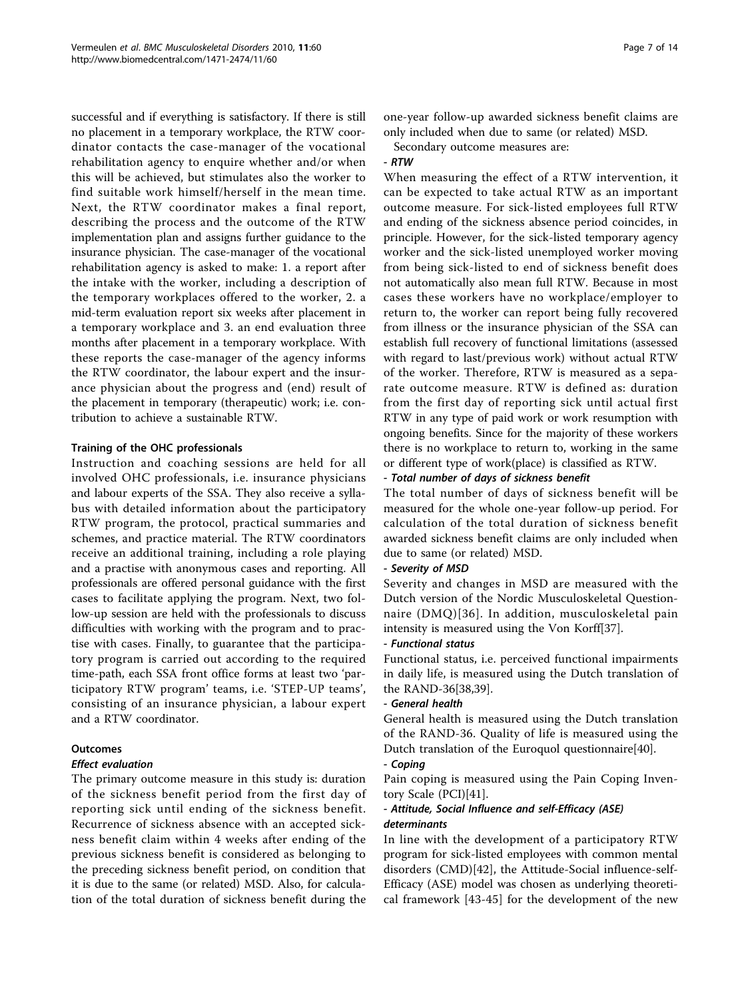successful and if everything is satisfactory. If there is still no placement in a temporary workplace, the RTW coordinator contacts the case-manager of the vocational rehabilitation agency to enquire whether and/or when this will be achieved, but stimulates also the worker to find suitable work himself/herself in the mean time. Next, the RTW coordinator makes a final report, describing the process and the outcome of the RTW implementation plan and assigns further guidance to the insurance physician. The case-manager of the vocational rehabilitation agency is asked to make: 1. a report after the intake with the worker, including a description of the temporary workplaces offered to the worker, 2. a mid-term evaluation report six weeks after placement in a temporary workplace and 3. an end evaluation three months after placement in a temporary workplace. With these reports the case-manager of the agency informs the RTW coordinator, the labour expert and the insurance physician about the progress and (end) result of the placement in temporary (therapeutic) work; i.e. contribution to achieve a sustainable RTW.

## Training of the OHC professionals

Instruction and coaching sessions are held for all involved OHC professionals, i.e. insurance physicians and labour experts of the SSA. They also receive a syllabus with detailed information about the participatory RTW program, the protocol, practical summaries and schemes, and practice material. The RTW coordinators receive an additional training, including a role playing and a practise with anonymous cases and reporting. All professionals are offered personal guidance with the first cases to facilitate applying the program. Next, two follow-up session are held with the professionals to discuss difficulties with working with the program and to practise with cases. Finally, to guarantee that the participatory program is carried out according to the required time-path, each SSA front office forms at least two 'participatory RTW program' teams, i.e. 'STEP-UP teams', consisting of an insurance physician, a labour expert and a RTW coordinator.

## **Outcomes**

#### Effect evaluation

The primary outcome measure in this study is: duration of the sickness benefit period from the first day of reporting sick until ending of the sickness benefit. Recurrence of sickness absence with an accepted sickness benefit claim within 4 weeks after ending of the previous sickness benefit is considered as belonging to the preceding sickness benefit period, on condition that it is due to the same (or related) MSD. Also, for calculation of the total duration of sickness benefit during the one-year follow-up awarded sickness benefit claims are only included when due to same (or related) MSD.

Secondary outcome measures are:

## - RTW

When measuring the effect of a RTW intervention, it can be expected to take actual RTW as an important outcome measure. For sick-listed employees full RTW and ending of the sickness absence period coincides, in principle. However, for the sick-listed temporary agency worker and the sick-listed unemployed worker moving from being sick-listed to end of sickness benefit does not automatically also mean full RTW. Because in most cases these workers have no workplace/employer to return to, the worker can report being fully recovered from illness or the insurance physician of the SSA can establish full recovery of functional limitations (assessed with regard to last/previous work) without actual RTW of the worker. Therefore, RTW is measured as a separate outcome measure. RTW is defined as: duration from the first day of reporting sick until actual first RTW in any type of paid work or work resumption with ongoing benefits. Since for the majority of these workers there is no workplace to return to, working in the same or different type of work(place) is classified as RTW.

## - Total number of days of sickness benefit

The total number of days of sickness benefit will be measured for the whole one-year follow-up period. For calculation of the total duration of sickness benefit awarded sickness benefit claims are only included when due to same (or related) MSD.

#### - Severity of MSD

Severity and changes in MSD are measured with the Dutch version of the Nordic Musculoskeletal Questionnaire (DMQ)[[36\]](#page-12-0). In addition, musculoskeletal pain intensity is measured using the Von Korff[\[37\]](#page-12-0).

#### - Functional status

Functional status, i.e. perceived functional impairments in daily life, is measured using the Dutch translation of the RAND-36[[38](#page-12-0),[39](#page-12-0)].

## - General health

General health is measured using the Dutch translation of the RAND-36. Quality of life is measured using the Dutch translation of the Euroquol questionnaire[\[40](#page-12-0)].

## - Coping

Pain coping is measured using the Pain Coping Inventory Scale (PCI)[[41\]](#page-12-0).

## - Attitude, Social Influence and self-Efficacy (ASE) determinants

In line with the development of a participatory RTW program for sick-listed employees with common mental disorders (CMD)[[42\]](#page-12-0), the Attitude-Social influence-self-Efficacy (ASE) model was chosen as underlying theoretical framework [\[43](#page-12-0)-[45](#page-12-0)] for the development of the new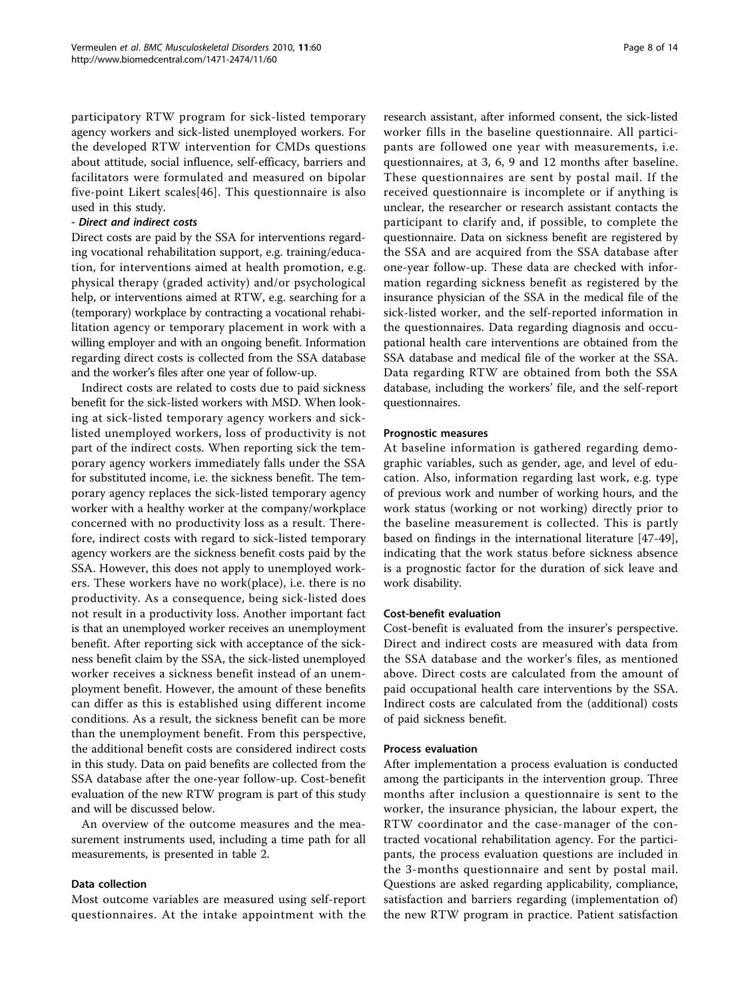participatory RTW program for sick-listed temporary agency workers and sick-listed unemployed workers. For the developed RTW intervention for CMDs questions about attitude, social influence, self-efficacy, barriers and facilitators were formulated and measured on bipolar five-point Likert scales[\[46\]](#page-12-0). This questionnaire is also used in this study.

## - Direct and indirect costs

Direct costs are paid by the SSA for interventions regarding vocational rehabilitation support, e.g. training/education, for interventions aimed at health promotion, e.g. physical therapy (graded activity) and/or psychological help, or interventions aimed at RTW, e.g. searching for a (temporary) workplace by contracting a vocational rehabilitation agency or temporary placement in work with a willing employer and with an ongoing benefit. Information regarding direct costs is collected from the SSA database and the worker's files after one year of follow-up.

Indirect costs are related to costs due to paid sickness benefit for the sick-listed workers with MSD. When looking at sick-listed temporary agency workers and sicklisted unemployed workers, loss of productivity is not part of the indirect costs. When reporting sick the temporary agency workers immediately falls under the SSA for substituted income, i.e. the sickness benefit. The temporary agency replaces the sick-listed temporary agency worker with a healthy worker at the company/workplace concerned with no productivity loss as a result. Therefore, indirect costs with regard to sick-listed temporary agency workers are the sickness benefit costs paid by the SSA. However, this does not apply to unemployed workers. These workers have no work(place), i.e. there is no productivity. As a consequence, being sick-listed does not result in a productivity loss. Another important fact is that an unemployed worker receives an unemployment benefit. After reporting sick with acceptance of the sickness benefit claim by the SSA, the sick-listed unemployed worker receives a sickness benefit instead of an unemployment benefit. However, the amount of these benefits can differ as this is established using different income conditions. As a result, the sickness benefit can be more than the unemployment benefit. From this perspective, the additional benefit costs are considered indirect costs in this study. Data on paid benefits are collected from the SSA database after the one-year follow-up. Cost-benefit evaluation of the new RTW program is part of this study and will be discussed below.

An overview of the outcome measures and the measurement instruments used, including a time path for all measurements, is presented in table [2.](#page-8-0)

#### Data collection

Most outcome variables are measured using self-report questionnaires. At the intake appointment with the research assistant, after informed consent, the sick-listed worker fills in the baseline questionnaire. All participants are followed one year with measurements, i.e. questionnaires, at 3, 6, 9 and 12 months after baseline. These questionnaires are sent by postal mail. If the received questionnaire is incomplete or if anything is unclear, the researcher or research assistant contacts the participant to clarify and, if possible, to complete the questionnaire. Data on sickness benefit are registered by the SSA and are acquired from the SSA database after one-year follow-up. These data are checked with information regarding sickness benefit as registered by the insurance physician of the SSA in the medical file of the sick-listed worker, and the self-reported information in the questionnaires. Data regarding diagnosis and occupational health care interventions are obtained from the SSA database and medical file of the worker at the SSA. Data regarding RTW are obtained from both the SSA database, including the workers' file, and the self-report questionnaires.

#### Prognostic measures

At baseline information is gathered regarding demographic variables, such as gender, age, and level of education. Also, information regarding last work, e.g. type of previous work and number of working hours, and the work status (working or not working) directly prior to the baseline measurement is collected. This is partly based on findings in the international literature [[47-49](#page-12-0)], indicating that the work status before sickness absence is a prognostic factor for the duration of sick leave and work disability.

#### Cost-benefit evaluation

Cost-benefit is evaluated from the insurer's perspective. Direct and indirect costs are measured with data from the SSA database and the worker's files, as mentioned above. Direct costs are calculated from the amount of paid occupational health care interventions by the SSA. Indirect costs are calculated from the (additional) costs of paid sickness benefit.

## Process evaluation

After implementation a process evaluation is conducted among the participants in the intervention group. Three months after inclusion a questionnaire is sent to the worker, the insurance physician, the labour expert, the RTW coordinator and the case-manager of the contracted vocational rehabilitation agency. For the participants, the process evaluation questions are included in the 3-months questionnaire and sent by postal mail. Questions are asked regarding applicability, compliance, satisfaction and barriers regarding (implementation of) the new RTW program in practice. Patient satisfaction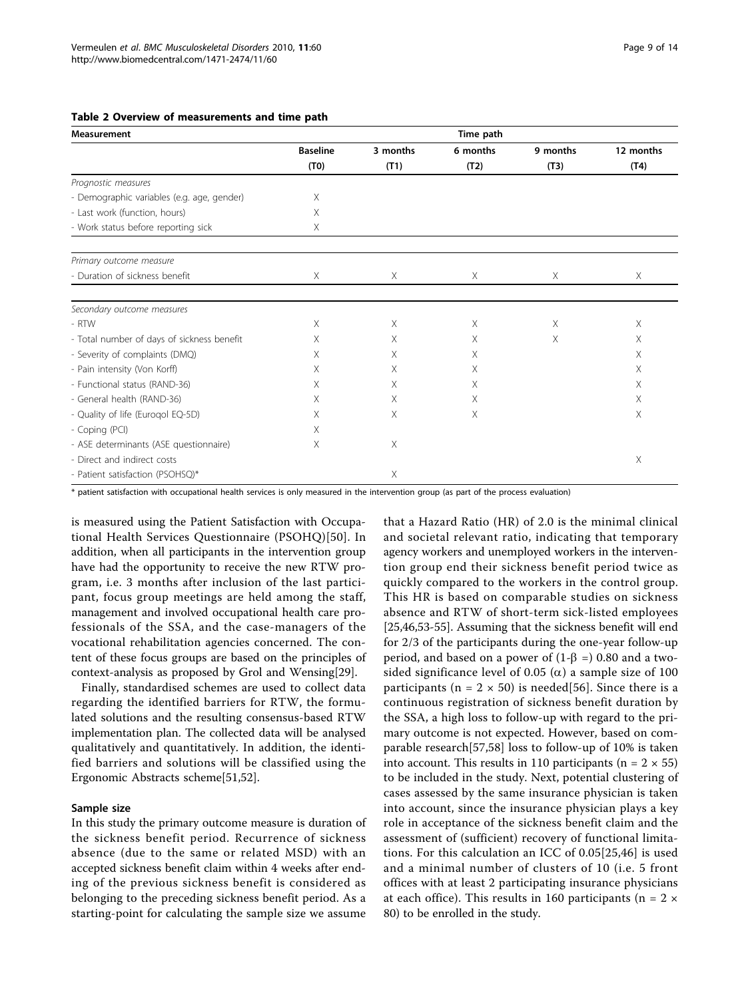#### <span id="page-8-0"></span>Table 2 Overview of measurements and time path

| <b>Measurement</b>                         | Time path       |          |          |          |           |
|--------------------------------------------|-----------------|----------|----------|----------|-----------|
|                                            | <b>Baseline</b> | 3 months | 6 months | 9 months | 12 months |
|                                            | (T0)            | (T1)     | (T2)     | (T3)     | (T4)      |
| Prognostic measures                        |                 |          |          |          |           |
| - Demographic variables (e.g. age, gender) | $\times$        |          |          |          |           |
| - Last work (function, hours)              | Χ               |          |          |          |           |
| - Work status before reporting sick        | Χ               |          |          |          |           |
| Primary outcome measure                    |                 |          |          |          |           |
| - Duration of sickness benefit             | Χ               | Χ        | Χ        | X        | Χ         |
| Secondary outcome measures                 |                 |          |          |          |           |
| - RTW                                      | $\mathsf X$     | X        | Χ        | X        | X         |
| - Total number of days of sickness benefit | X               | X        | Χ        | X        | X         |
| - Severity of complaints (DMQ)             | Χ               | X        | X        |          | X         |
| - Pain intensity (Von Korff)               | X               | X        | X        |          | X         |
| - Functional status (RAND-36)              | X               | X        | X        |          | X         |
| - General health (RAND-36)                 | X               | $\times$ | X        |          | Χ         |
| - Quality of life (Eurogol EQ-5D)          | Χ               | X        | X        |          | X         |
| - Coping (PCI)                             | Χ               |          |          |          |           |
| - ASE determinants (ASE questionnaire)     | Χ               | X        |          |          |           |
| - Direct and indirect costs                |                 |          |          |          | Χ         |
| - Patient satisfaction (PSOHSQ)*           |                 | Χ        |          |          |           |

\* patient satisfaction with occupational health services is only measured in the intervention group (as part of the process evaluation)

is measured using the Patient Satisfaction with Occupational Health Services Questionnaire (PSOHQ)[\[50\]](#page-12-0). In addition, when all participants in the intervention group have had the opportunity to receive the new RTW program, i.e. 3 months after inclusion of the last participant, focus group meetings are held among the staff, management and involved occupational health care professionals of the SSA, and the case-managers of the vocational rehabilitation agencies concerned. The content of these focus groups are based on the principles of context-analysis as proposed by Grol and Wensing[[29\]](#page-12-0).

Finally, standardised schemes are used to collect data regarding the identified barriers for RTW, the formulated solutions and the resulting consensus-based RTW implementation plan. The collected data will be analysed qualitatively and quantitatively. In addition, the identified barriers and solutions will be classified using the Ergonomic Abstracts scheme[\[51,52\]](#page-12-0).

#### Sample size

In this study the primary outcome measure is duration of the sickness benefit period. Recurrence of sickness absence (due to the same or related MSD) with an accepted sickness benefit claim within 4 weeks after ending of the previous sickness benefit is considered as belonging to the preceding sickness benefit period. As a starting-point for calculating the sample size we assume

that a Hazard Ratio (HR) of 2.0 is the minimal clinical and societal relevant ratio, indicating that temporary agency workers and unemployed workers in the intervention group end their sickness benefit period twice as quickly compared to the workers in the control group. This HR is based on comparable studies on sickness absence and RTW of short-term sick-listed employees [[25,46,53](#page-12-0)-[55\]](#page-12-0). Assuming that the sickness benefit will end for 2/3 of the participants during the one-year follow-up period, and based on a power of  $(1-\beta) = 0.80$  and a twosided significance level of 0.05 ( $\alpha$ ) a sample size of 100 participants (n =  $2 \times 50$ ) is needed[[56](#page-12-0)]. Since there is a continuous registration of sickness benefit duration by the SSA, a high loss to follow-up with regard to the primary outcome is not expected. However, based on comparable research[[57,58\]](#page-12-0) loss to follow-up of 10% is taken into account. This results in 110 participants ( $n = 2 \times 55$ ) to be included in the study. Next, potential clustering of cases assessed by the same insurance physician is taken into account, since the insurance physician plays a key role in acceptance of the sickness benefit claim and the assessment of (sufficient) recovery of functional limitations. For this calculation an ICC of 0.05[[25,46](#page-12-0)] is used and a minimal number of clusters of 10 (i.e. 5 front offices with at least 2 participating insurance physicians at each office). This results in 160 participants ( $n = 2 \times$ 80) to be enrolled in the study.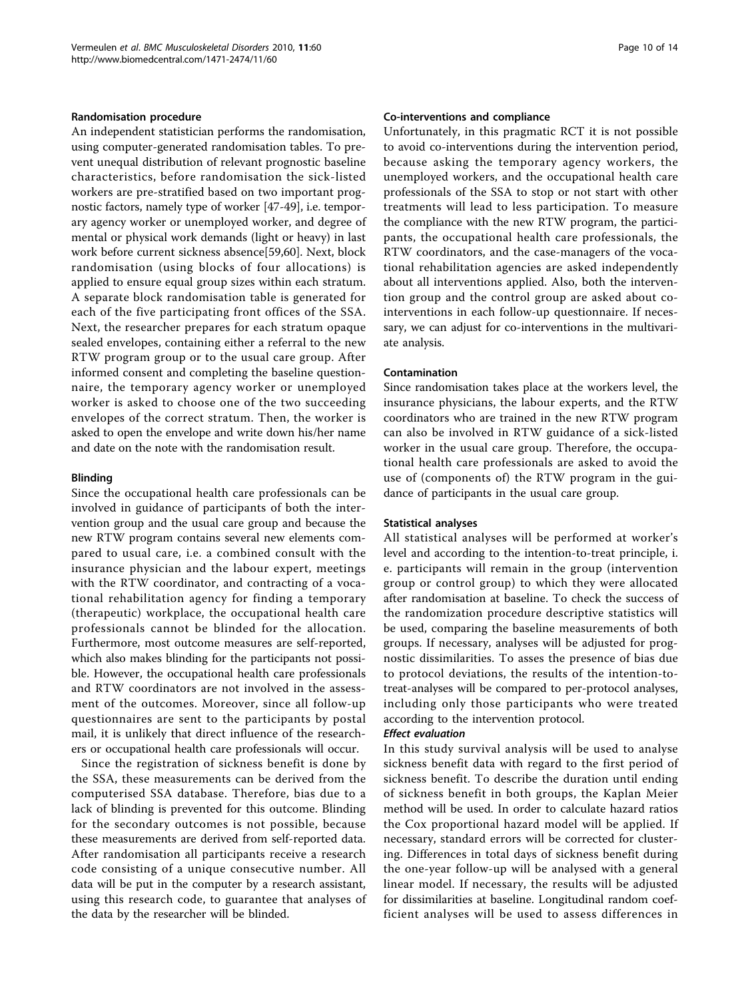#### Randomisation procedure

An independent statistician performs the randomisation, using computer-generated randomisation tables. To prevent unequal distribution of relevant prognostic baseline characteristics, before randomisation the sick-listed workers are pre-stratified based on two important prognostic factors, namely type of worker [\[47](#page-12-0)-[49\]](#page-12-0), i.e. temporary agency worker or unemployed worker, and degree of mental or physical work demands (light or heavy) in last work before current sickness absence[\[59,60](#page-12-0)]. Next, block randomisation (using blocks of four allocations) is applied to ensure equal group sizes within each stratum. A separate block randomisation table is generated for each of the five participating front offices of the SSA. Next, the researcher prepares for each stratum opaque sealed envelopes, containing either a referral to the new RTW program group or to the usual care group. After informed consent and completing the baseline questionnaire, the temporary agency worker or unemployed worker is asked to choose one of the two succeeding envelopes of the correct stratum. Then, the worker is asked to open the envelope and write down his/her name and date on the note with the randomisation result.

#### Blinding

Since the occupational health care professionals can be involved in guidance of participants of both the intervention group and the usual care group and because the new RTW program contains several new elements compared to usual care, i.e. a combined consult with the insurance physician and the labour expert, meetings with the RTW coordinator, and contracting of a vocational rehabilitation agency for finding a temporary (therapeutic) workplace, the occupational health care professionals cannot be blinded for the allocation. Furthermore, most outcome measures are self-reported, which also makes blinding for the participants not possible. However, the occupational health care professionals and RTW coordinators are not involved in the assessment of the outcomes. Moreover, since all follow-up questionnaires are sent to the participants by postal mail, it is unlikely that direct influence of the researchers or occupational health care professionals will occur.

Since the registration of sickness benefit is done by the SSA, these measurements can be derived from the computerised SSA database. Therefore, bias due to a lack of blinding is prevented for this outcome. Blinding for the secondary outcomes is not possible, because these measurements are derived from self-reported data. After randomisation all participants receive a research code consisting of a unique consecutive number. All data will be put in the computer by a research assistant, using this research code, to guarantee that analyses of the data by the researcher will be blinded.

#### Co-interventions and compliance

Unfortunately, in this pragmatic RCT it is not possible to avoid co-interventions during the intervention period, because asking the temporary agency workers, the unemployed workers, and the occupational health care professionals of the SSA to stop or not start with other treatments will lead to less participation. To measure the compliance with the new RTW program, the participants, the occupational health care professionals, the RTW coordinators, and the case-managers of the vocational rehabilitation agencies are asked independently about all interventions applied. Also, both the intervention group and the control group are asked about cointerventions in each follow-up questionnaire. If necessary, we can adjust for co-interventions in the multivariate analysis.

#### Contamination

Since randomisation takes place at the workers level, the insurance physicians, the labour experts, and the RTW coordinators who are trained in the new RTW program can also be involved in RTW guidance of a sick-listed worker in the usual care group. Therefore, the occupational health care professionals are asked to avoid the use of (components of) the RTW program in the guidance of participants in the usual care group.

#### Statistical analyses

All statistical analyses will be performed at worker's level and according to the intention-to-treat principle, i. e. participants will remain in the group (intervention group or control group) to which they were allocated after randomisation at baseline. To check the success of the randomization procedure descriptive statistics will be used, comparing the baseline measurements of both groups. If necessary, analyses will be adjusted for prognostic dissimilarities. To asses the presence of bias due to protocol deviations, the results of the intention-totreat-analyses will be compared to per-protocol analyses, including only those participants who were treated according to the intervention protocol.

#### Effect evaluation

In this study survival analysis will be used to analyse sickness benefit data with regard to the first period of sickness benefit. To describe the duration until ending of sickness benefit in both groups, the Kaplan Meier method will be used. In order to calculate hazard ratios the Cox proportional hazard model will be applied. If necessary, standard errors will be corrected for clustering. Differences in total days of sickness benefit during the one-year follow-up will be analysed with a general linear model. If necessary, the results will be adjusted for dissimilarities at baseline. Longitudinal random coefficient analyses will be used to assess differences in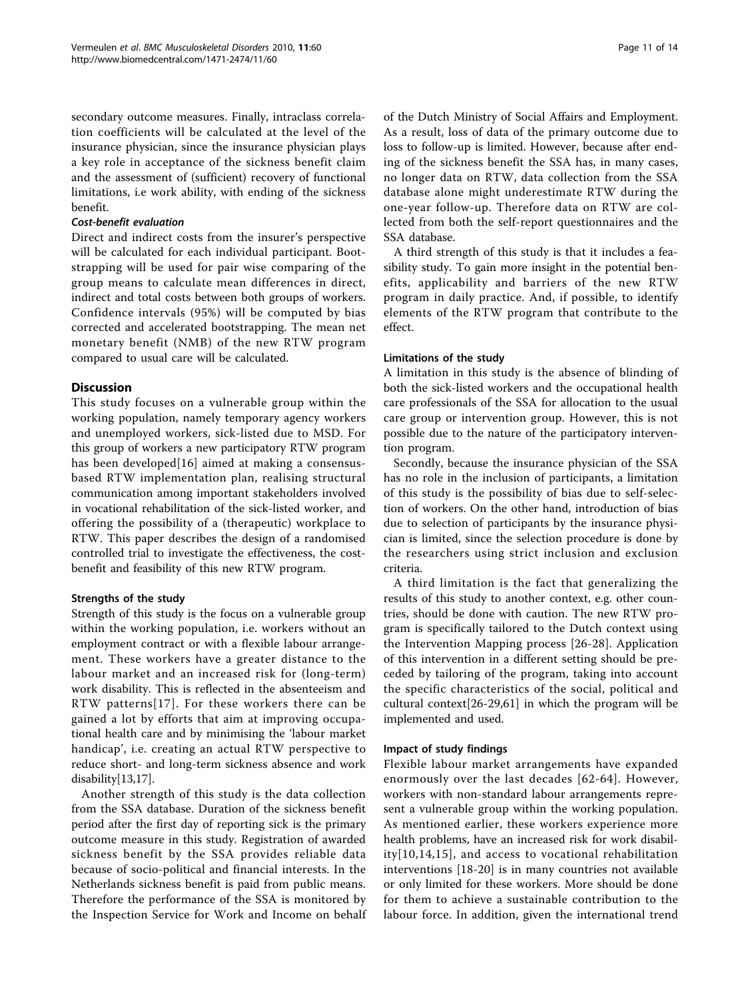secondary outcome measures. Finally, intraclass correlation coefficients will be calculated at the level of the insurance physician, since the insurance physician plays a key role in acceptance of the sickness benefit claim and the assessment of (sufficient) recovery of functional limitations, i.e work ability, with ending of the sickness benefit.

#### Cost-benefit evaluation

Direct and indirect costs from the insurer's perspective will be calculated for each individual participant. Bootstrapping will be used for pair wise comparing of the group means to calculate mean differences in direct, indirect and total costs between both groups of workers. Confidence intervals (95%) will be computed by bias corrected and accelerated bootstrapping. The mean net monetary benefit (NMB) of the new RTW program compared to usual care will be calculated.

## Discussion

This study focuses on a vulnerable group within the working population, namely temporary agency workers and unemployed workers, sick-listed due to MSD. For this group of workers a new participatory RTW program has been developed[[16\]](#page-11-0) aimed at making a consensusbased RTW implementation plan, realising structural communication among important stakeholders involved in vocational rehabilitation of the sick-listed worker, and offering the possibility of a (therapeutic) workplace to RTW. This paper describes the design of a randomised controlled trial to investigate the effectiveness, the costbenefit and feasibility of this new RTW program.

## Strengths of the study

Strength of this study is the focus on a vulnerable group within the working population, i.e. workers without an employment contract or with a flexible labour arrangement. These workers have a greater distance to the labour market and an increased risk for (long-term) work disability. This is reflected in the absenteeism and RTW patterns[[17](#page-11-0)]. For these workers there can be gained a lot by efforts that aim at improving occupational health care and by minimising the 'labour market handicap', i.e. creating an actual RTW perspective to reduce short- and long-term sickness absence and work disability[[13,17\]](#page-11-0).

Another strength of this study is the data collection from the SSA database. Duration of the sickness benefit period after the first day of reporting sick is the primary outcome measure in this study. Registration of awarded sickness benefit by the SSA provides reliable data because of socio-political and financial interests. In the Netherlands sickness benefit is paid from public means. Therefore the performance of the SSA is monitored by the Inspection Service for Work and Income on behalf of the Dutch Ministry of Social Affairs and Employment. As a result, loss of data of the primary outcome due to loss to follow-up is limited. However, because after ending of the sickness benefit the SSA has, in many cases, no longer data on RTW, data collection from the SSA database alone might underestimate RTW during the one-year follow-up. Therefore data on RTW are collected from both the self-report questionnaires and the SSA database.

A third strength of this study is that it includes a feasibility study. To gain more insight in the potential benefits, applicability and barriers of the new RTW program in daily practice. And, if possible, to identify elements of the RTW program that contribute to the effect.

## Limitations of the study

A limitation in this study is the absence of blinding of both the sick-listed workers and the occupational health care professionals of the SSA for allocation to the usual care group or intervention group. However, this is not possible due to the nature of the participatory intervention program.

Secondly, because the insurance physician of the SSA has no role in the inclusion of participants, a limitation of this study is the possibility of bias due to self-selection of workers. On the other hand, introduction of bias due to selection of participants by the insurance physician is limited, since the selection procedure is done by the researchers using strict inclusion and exclusion criteria.

A third limitation is the fact that generalizing the results of this study to another context, e.g. other countries, should be done with caution. The new RTW program is specifically tailored to the Dutch context using the Intervention Mapping process [[26-28](#page-12-0)]. Application of this intervention in a different setting should be preceded by tailoring of the program, taking into account the specific characteristics of the social, political and cultural context[[26-29,61\]](#page-12-0) in which the program will be implemented and used.

## Impact of study findings

Flexible labour market arrangements have expanded enormously over the last decades [[62-64](#page-13-0)]. However, workers with non-standard labour arrangements represent a vulnerable group within the working population. As mentioned earlier, these workers experience more health problems, have an increased risk for work disability[[10](#page-11-0),[14](#page-11-0),[15](#page-11-0)], and access to vocational rehabilitation interventions [[18-](#page-11-0)[20\]](#page-12-0) is in many countries not available or only limited for these workers. More should be done for them to achieve a sustainable contribution to the labour force. In addition, given the international trend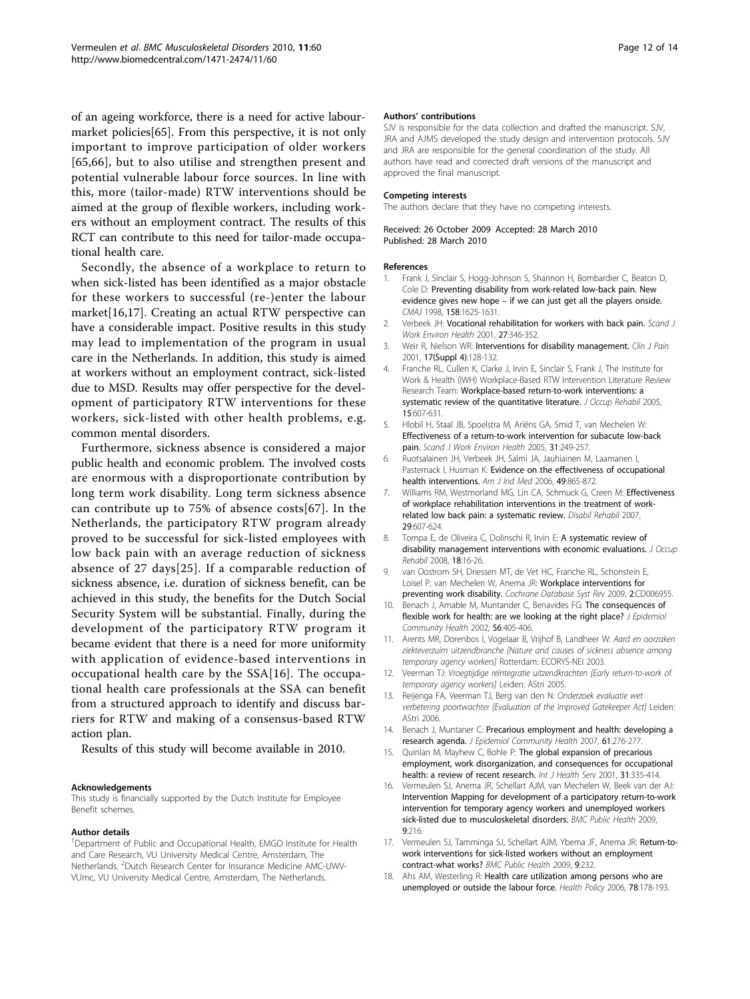<span id="page-11-0"></span>of an ageing workforce, there is a need for active labourmarket policies[[65\]](#page-13-0). From this perspective, it is not only important to improve participation of older workers [[65](#page-13-0),[66\]](#page-13-0), but to also utilise and strengthen present and potential vulnerable labour force sources. In line with this, more (tailor-made) RTW interventions should be aimed at the group of flexible workers, including workers without an employment contract. The results of this RCT can contribute to this need for tailor-made occupational health care.

Secondly, the absence of a workplace to return to when sick-listed has been identified as a major obstacle for these workers to successful (re-)enter the labour market[16,17]. Creating an actual RTW perspective can have a considerable impact. Positive results in this study may lead to implementation of the program in usual care in the Netherlands. In addition, this study is aimed at workers without an employment contract, sick-listed due to MSD. Results may offer perspective for the development of participatory RTW interventions for these workers, sick-listed with other health problems, e.g. common mental disorders.

Furthermore, sickness absence is considered a major public health and economic problem. The involved costs are enormous with a disproportionate contribution by long term work disability. Long term sickness absence can contribute up to 75% of absence costs[[67](#page-13-0)]. In the Netherlands, the participatory RTW program already proved to be successful for sick-listed employees with low back pain with an average reduction of sickness absence of 27 days[\[25\]](#page-12-0). If a comparable reduction of sickness absence, i.e. duration of sickness benefit, can be achieved in this study, the benefits for the Dutch Social Security System will be substantial. Finally, during the development of the participatory RTW program it became evident that there is a need for more uniformity with application of evidence-based interventions in occupational health care by the SSA[16]. The occupational health care professionals at the SSA can benefit from a structured approach to identify and discuss barriers for RTW and making of a consensus-based RTW action plan.

Results of this study will become available in 2010.

#### Acknowledgements

This study is financially supported by the Dutch Institute for Employee Benefit schemes.

#### Author details

<sup>1</sup>Department of Public and Occupational Health, EMGO Institute for Health and Care Research, VU University Medical Centre, Amsterdam, The Netherlands. <sup>2</sup>Dutch Research Center for Insurance Medicine AMC-UWV-VUmc, VU University Medical Centre, Amsterdam, The Netherlands.

#### Authors' contributions

SJV is responsible for the data collection and drafted the manuscript. SJV, JRA and AJMS developed the study design and intervention protocols. SJV and JRA are responsible for the general coordination of the study. All authors have read and corrected draft versions of the manuscript and approved the final manuscript.

#### Competing interests

The authors declare that they have no competing interests.

#### Received: 26 October 2009 Accepted: 28 March 2010 Published: 28 March 2010

#### References

- Frank J, Sinclair S, Hogg-Johnson S, Shannon H, Bombardier C, Beaton D, Cole D: [Preventing disability from work-related low-back pain. New](http://www.ncbi.nlm.nih.gov/pubmed/9645178?dopt=Abstract) evidence gives new hope – [if we can just get all the players onside.](http://www.ncbi.nlm.nih.gov/pubmed/9645178?dopt=Abstract) CMAJ 1998, 158:1625-1631.
- 2. Verbeek JH: [Vocational rehabilitation for workers with back pain.](http://www.ncbi.nlm.nih.gov/pubmed/11712616?dopt=Abstract) Scand J Work Environ Health 2001, 27:346-352.
- 3. Weir R, Nielson WR: Interventions for disability management. Clin J Pain 2001, 17(Suppl 4):128-132.
- 4. Franche RL, Cullen K, Clarke J, Irvin E, Sinclair S, Frank J, The Institute for Work & Health (IWH) Workplace-Based RTW Intervention Literature Review Research Team: [Workplace-based return-to-work interventions: a](http://www.ncbi.nlm.nih.gov/pubmed/16254759?dopt=Abstract) [systematic review of the quantitative literature.](http://www.ncbi.nlm.nih.gov/pubmed/16254759?dopt=Abstract) J Occup Rehabil 2005, 15:607-631.
- 5. Hlobil H, Staal JB, Spoelstra M, Ariëns GA, Smid T, van Mechelen W: [Effectiveness of a return-to-work intervention for subacute low-back](http://www.ncbi.nlm.nih.gov/pubmed/16161707?dopt=Abstract) [pain.](http://www.ncbi.nlm.nih.gov/pubmed/16161707?dopt=Abstract) Scand J Work Environ Health 2005, 31:249-257.
- 6. Ruotsalainen JH, Verbeek JH, Salmi JA, Jauhiainen M, Laamanen I, Pasternack I, Husman K: [Evidence on the effectiveness of occupational](http://www.ncbi.nlm.nih.gov/pubmed/16869005?dopt=Abstract) [health interventions.](http://www.ncbi.nlm.nih.gov/pubmed/16869005?dopt=Abstract) Am J Ind Med 2006, 49:865-872.
- 7. Williams RM, Westmorland MG, Lin CA, Schmuck G, Creen M: [Effectiveness](http://www.ncbi.nlm.nih.gov/pubmed/17453982?dopt=Abstract) [of workplace rehabilitation interventions in the treatment of work](http://www.ncbi.nlm.nih.gov/pubmed/17453982?dopt=Abstract)[related low back pain: a systematic review.](http://www.ncbi.nlm.nih.gov/pubmed/17453982?dopt=Abstract) Disabil Rehabil 2007, 29:607-624.
- 8. Tompa E, de Oliveira C, Dolinschi R, Irvin E: [A systematic review of](http://www.ncbi.nlm.nih.gov/pubmed/18259843?dopt=Abstract) [disability management interventions with economic evaluations.](http://www.ncbi.nlm.nih.gov/pubmed/18259843?dopt=Abstract) J Occup Rehabil 2008, 18:16-26.
- 9. van Oostrom SH, Driessen MT, de Vet HC, Franche RL, Schonstein E, Loisel P, van Mechelen W, Anema JR: [Workplace interventions for](http://www.ncbi.nlm.nih.gov/pubmed/19370664?dopt=Abstract) [preventing work disability.](http://www.ncbi.nlm.nih.gov/pubmed/19370664?dopt=Abstract) Cochrane Database Syst Rev 2009, 2:CD006955.
- 10. Benach J, Amable M, Muntander C, Benavides FG: [The consequences of](http://www.ncbi.nlm.nih.gov/pubmed/12011192?dopt=Abstract) [flexible work for health: are we looking at the right place?](http://www.ncbi.nlm.nih.gov/pubmed/12011192?dopt=Abstract) J Epidemiol Community Health 2002, 56:405-406.
- 11. Arents MR, Dorenbos I, Vogelaar B, Vrijhof B, Landheer W: Aard en oorzaken ziekteverzuim uitzendbranche [Nature and causes of sickness absence among temporary agency workers] Rotterdam: ECORYS-NEI 2003.
- 12. Veerman TJ: Vroegtijdige reïntegratie uitzendkrachten [Early return-to-work of temporary agency workers] Leiden: AStri 2005.
- 13. Reijenga FA, Veerman TJ, Berg van den N: Onderzoek evaluatie wet verbetering poortwachter [Evaluation of the Improved Gatekeeper Act] Leiden: AStri 2006.
- 14. Benach J, Muntaner C: [Precarious employment and health: developing a](http://www.ncbi.nlm.nih.gov/pubmed/17372284?dopt=Abstract) [research agenda.](http://www.ncbi.nlm.nih.gov/pubmed/17372284?dopt=Abstract) J Epidemiol Community Health 2007, 61:276-277.
- 15. Quinlan M, Mayhew C, Bohle P: [The global expansion of precarious](http://www.ncbi.nlm.nih.gov/pubmed/11407174?dopt=Abstract) [employment, work disorganization, and consequences for occupational](http://www.ncbi.nlm.nih.gov/pubmed/11407174?dopt=Abstract) [health: a review of recent research.](http://www.ncbi.nlm.nih.gov/pubmed/11407174?dopt=Abstract) Int J Health Serv 2001, 31:335-414.
- 16. Vermeulen SJ, Anema JR, Schellart AJM, van Mechelen W, Beek van der AJ: [Intervention Mapping for development of a participatory return-to-work](http://www.ncbi.nlm.nih.gov/pubmed/19573229?dopt=Abstract) [intervention for temporary agency workers and unemployed workers](http://www.ncbi.nlm.nih.gov/pubmed/19573229?dopt=Abstract) [sick-listed due to musculoskeletal disorders.](http://www.ncbi.nlm.nih.gov/pubmed/19573229?dopt=Abstract) BMC Public Health 2009, 9:216.
- 17. Vermeulen SJ, Tamminga SJ, Schellart AJM, Ybema JF, Anema JR: [Return-to](http://www.ncbi.nlm.nih.gov/pubmed/19602219?dopt=Abstract)[work interventions for sick-listed workers without an employment](http://www.ncbi.nlm.nih.gov/pubmed/19602219?dopt=Abstract) [contract-what works?](http://www.ncbi.nlm.nih.gov/pubmed/19602219?dopt=Abstract) BMC Public Health 2009, 9:232.
- 18. Ahs AM, Westerling R: [Health care utilization among persons who are](http://www.ncbi.nlm.nih.gov/pubmed/16343685?dopt=Abstract) [unemployed or outside the labour force.](http://www.ncbi.nlm.nih.gov/pubmed/16343685?dopt=Abstract) Health Policy 2006, 78:178-193.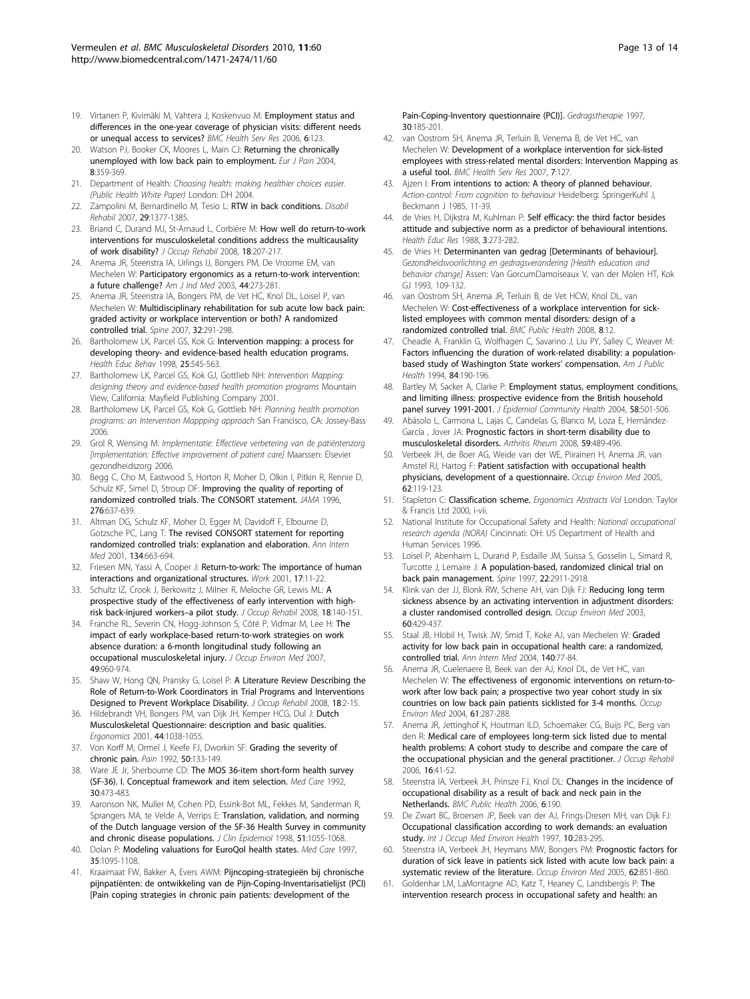- <span id="page-12-0"></span>19. Virtanen P, Kivimäki M, Vahtera J, Koskenvuo M: [Employment status and](http://www.ncbi.nlm.nih.gov/pubmed/17014702?dopt=Abstract) [differences in the one-year coverage of physician visits: different needs](http://www.ncbi.nlm.nih.gov/pubmed/17014702?dopt=Abstract) [or unequal access to services?](http://www.ncbi.nlm.nih.gov/pubmed/17014702?dopt=Abstract) BMC Health Serv Res 2006, 6:123.
- 20. Watson PJ, Booker CK, Moores L, Main CJ: [Returning the chronically](http://www.ncbi.nlm.nih.gov/pubmed/15207517?dopt=Abstract) [unemployed with low back pain to employment.](http://www.ncbi.nlm.nih.gov/pubmed/15207517?dopt=Abstract) Eur J Pain 2004, 8:359-369.
- 21. Department of Health: Choosing health: making healthier choices easier. (Public Health White Paper) London: DH 2004.
- Zampolini M, Bernardinello M, Tesio L: [RTW in back conditions.](http://www.ncbi.nlm.nih.gov/pubmed/17729083?dopt=Abstract) Disabil Rehabil 2007, 29:1377-1385.
- 23. Briand C, Durand MJ, St-Arnaud L, Corbière M: [How well do return-to-work](http://www.ncbi.nlm.nih.gov/pubmed/18392925?dopt=Abstract) [interventions for musculoskeletal conditions address the multicausality](http://www.ncbi.nlm.nih.gov/pubmed/18392925?dopt=Abstract) [of work disability?](http://www.ncbi.nlm.nih.gov/pubmed/18392925?dopt=Abstract) J Occup Rehabil 2008, 18:207-217.
- 24. Anema JR, Steenstra IA, Urlings IJ, Bongers PM, De Vroome EM, van Mechelen W: [Participatory ergonomics as a return-to-work intervention:](http://www.ncbi.nlm.nih.gov/pubmed/12929147?dopt=Abstract) [a future challenge?](http://www.ncbi.nlm.nih.gov/pubmed/12929147?dopt=Abstract) Am J Ind Med 2003, 44:273-281.
- 25. Anema JR, Steenstra IA, Bongers PM, de Vet HC, Knol DL, Loisel P, van Mechelen W: [Multidisciplinary rehabilitation for sub acute low back pain:](http://www.ncbi.nlm.nih.gov/pubmed/17268258?dopt=Abstract) [graded activity or workplace intervention or both? A randomized](http://www.ncbi.nlm.nih.gov/pubmed/17268258?dopt=Abstract) [controlled trial.](http://www.ncbi.nlm.nih.gov/pubmed/17268258?dopt=Abstract) Spine 2007, 32:291-298.
- 26. Bartholomew LK, Parcel GS, Kok G: [Intervention mapping: a process for](http://www.ncbi.nlm.nih.gov/pubmed/9768376?dopt=Abstract) [developing theory- and evidence-based health education programs.](http://www.ncbi.nlm.nih.gov/pubmed/9768376?dopt=Abstract) Health Educ Behav 1998, 25:545-563.
- 27. Bartholomew LK, Parcel GS, Kok GJ, Gottlieb NH: Intervention Mapping: designing theory and evidence-based health promotion programs Mountain View, California: Mayfield Publishing Company 2001.
- 28. Bartholomew LK, Parcel GS, Kok G, Gottlieb NH: Planning health promotion programs: an Intervention Mappping approach San Francisco, CA: Jossey-Bass 2006.
- 29. Grol R, Wensing M: Implementatie: Effectieve verbetering van de patiëntenzorg [Implementation: Effective improvement of patient care] Maarssen: Elsevier gezondheidszorg 2006.
- 30. Begg C, Cho M, Eastwood S, Horton R, Moher D, Olkin I, Pitkin R, Rennie D, Schulz KF, Simel D, Stroup DF: [Improving the quality of reporting of](http://www.ncbi.nlm.nih.gov/pubmed/8773637?dopt=Abstract) [randomized controlled trials. The CONSORT statement.](http://www.ncbi.nlm.nih.gov/pubmed/8773637?dopt=Abstract) JAMA 1996, 276:637-639.
- 31. Altman DG, Schulz KF, Moher D, Egger M, Davidoff F, Elbourne D, Gotzsche PC, Lang T: [The revised CONSORT statement for reporting](http://www.ncbi.nlm.nih.gov/pubmed/11304107?dopt=Abstract) [randomized controlled trials: explanation and elaboration.](http://www.ncbi.nlm.nih.gov/pubmed/11304107?dopt=Abstract) Ann Intern Med 2001, 134:663-694.
- 32. Friesen MN, Yassi A, Cooper J: [Return-to-work: The importance of human](http://www.ncbi.nlm.nih.gov/pubmed/12441618?dopt=Abstract) [interactions and organizational structures.](http://www.ncbi.nlm.nih.gov/pubmed/12441618?dopt=Abstract) Work 2001, 17:11-22.
- 33. Schultz IZ, Crook J, Berkowitz J, Milner R, Meloche GR, Lewis ML: [A](http://www.ncbi.nlm.nih.gov/pubmed/18404361?dopt=Abstract) [prospective study of the effectiveness of early intervention with high](http://www.ncbi.nlm.nih.gov/pubmed/18404361?dopt=Abstract)[risk back-injured workers](http://www.ncbi.nlm.nih.gov/pubmed/18404361?dopt=Abstract)-a pilot study. J Occup Rehabil 2008, 18:140-151.
- 34. Franche RL, Severin CN, Hogg-Johnson S, Côté P, Vidmar M, Lee H: [The](http://www.ncbi.nlm.nih.gov/pubmed/17848852?dopt=Abstract) [impact of early workplace-based return-to-work strategies on work](http://www.ncbi.nlm.nih.gov/pubmed/17848852?dopt=Abstract) [absence duration: a 6-month longitudinal study following an](http://www.ncbi.nlm.nih.gov/pubmed/17848852?dopt=Abstract) [occupational musculoskeletal injury.](http://www.ncbi.nlm.nih.gov/pubmed/17848852?dopt=Abstract) J Occup Environ Med 2007, 49:960-974.
- 35. Shaw W, Hong QN, Pransky G, Loisel P: [A Literature Review Describing the](http://www.ncbi.nlm.nih.gov/pubmed/18080827?dopt=Abstract) [Role of Return-to-Work Coordinators in Trial Programs and Interventions](http://www.ncbi.nlm.nih.gov/pubmed/18080827?dopt=Abstract) [Designed to Prevent Workplace Disability.](http://www.ncbi.nlm.nih.gov/pubmed/18080827?dopt=Abstract) J Occup Rehabil 2008, 18:2-15.
- 36. Hildebrandt VH, Bongers PM, van Dijk JH, Kemper HCG, Dul J: [Dutch](http://www.ncbi.nlm.nih.gov/pubmed/11780727?dopt=Abstract) [Musculoskeletal Questionnaire: description and basic qualities.](http://www.ncbi.nlm.nih.gov/pubmed/11780727?dopt=Abstract) Ergonomics 2001, 44:1038-1055.
- 37. Von Korff M, Ormel J, Keefe FJ, Dworkin SF: [Grading the severity of](http://www.ncbi.nlm.nih.gov/pubmed/1408309?dopt=Abstract) [chronic pain.](http://www.ncbi.nlm.nih.gov/pubmed/1408309?dopt=Abstract) Pain 1992, 50:133-149.
- 38. Ware JE Jr, Sherbourne CD: [The MOS 36-item short-form health survey](http://www.ncbi.nlm.nih.gov/pubmed/1593914?dopt=Abstract) [\(SF-36\). I. Conceptual framework and item selection.](http://www.ncbi.nlm.nih.gov/pubmed/1593914?dopt=Abstract) Med Care 1992, 30:473-483.
- 39. Aaronson NK, Muller M, Cohen PD, Essink-Bot ML, Fekkes M, Sanderman R, Sprangers MA, te Velde A, Verrips E: [Translation, validation, and norming](http://www.ncbi.nlm.nih.gov/pubmed/9817123?dopt=Abstract) [of the Dutch language version of the SF-36 Health Survey in community](http://www.ncbi.nlm.nih.gov/pubmed/9817123?dopt=Abstract) [and chronic disease populations.](http://www.ncbi.nlm.nih.gov/pubmed/9817123?dopt=Abstract) J Clin Epidemiol 1998, 51:1055-1068.
- 40. Dolan P: [Modeling valuations for EuroQol health states.](http://www.ncbi.nlm.nih.gov/pubmed/9366889?dopt=Abstract) Med Care 1997, 35:1095-1108.
- 41. Kraaimaat FW, Bakker A, Evers AWM: Pijncoping-strategieën bij chronische pijnpatiënten: de ontwikkeling van de Pijn-Coping-Inventarisatielijst (PCI) [Pain coping strategies in chronic pain patients: development of the

Pain-Coping-Inventory questionnaire (PCI)]. Gedraastherapie 1997, 30:185-201.

- 42. van Oostrom SH, Anema JR, Terluin B, Venema B, de Vet HC, van Mechelen W: [Development of a workplace intervention for sick-listed](http://www.ncbi.nlm.nih.gov/pubmed/17697364?dopt=Abstract) [employees with stress-related mental disorders: Intervention Mapping as](http://www.ncbi.nlm.nih.gov/pubmed/17697364?dopt=Abstract) [a useful tool.](http://www.ncbi.nlm.nih.gov/pubmed/17697364?dopt=Abstract) BMC Health Serv Res 2007, 7:127.
- 43. Aizen I: From intentions to action: A theory of planned behaviour. Action-control: From cognition to behaviour Heidelberg: SpringerKuhl J, Beckmann J 1985, 11-39.
- 44. de Vries H, Dijkstra M, Kuhlman P: Self efficacy: the third factor besides attitude and subjective norm as a predictor of behavioural intentions. Health Educ Res 1988, 3:273-282.
- 45. de Vries H: Determinanten van gedrag [Determinants of behaviour]. Gezondheidsvoorlichting en gedragsverandering [Health education and behavior change] Assen: Van GorcumDamoiseaux V, van der Molen HT, Kok GJ 1993, 109-132.
- 46. van Oostrom SH, Anema JR, Terluin B, de Vet HCW, Knol DL, van Mechelen W: [Cost-effectiveness of a workplace intervention for sick](http://www.ncbi.nlm.nih.gov/pubmed/18194525?dopt=Abstract)[listed employees with common mental disorders: design of a](http://www.ncbi.nlm.nih.gov/pubmed/18194525?dopt=Abstract) [randomized controlled trial.](http://www.ncbi.nlm.nih.gov/pubmed/18194525?dopt=Abstract) BMC Public Health 2008, 8:12.
- 47. Cheadle A, Franklin G, Wolfhagen C, Savarino J, Liu PY, Salley C, Weaver M: [Factors influencing the duration of work-related disability: a population](http://www.ncbi.nlm.nih.gov/pubmed/8296938?dopt=Abstract)[based study of Washington State workers](http://www.ncbi.nlm.nih.gov/pubmed/8296938?dopt=Abstract)' compensation. Am J Public Health 1994, 84:190-196.
- 48. Bartley M, Sacker A, Clarke P: [Employment status, employment conditions,](http://www.ncbi.nlm.nih.gov/pubmed/15143119?dopt=Abstract) [and limiting illness: prospective evidence from the British household](http://www.ncbi.nlm.nih.gov/pubmed/15143119?dopt=Abstract) [panel survey 1991-2001.](http://www.ncbi.nlm.nih.gov/pubmed/15143119?dopt=Abstract) J Epidemiol Community Health 2004, 58:501-506.
- 49. Abásolo L, Carmona L, Lajas C, Candelas G, Blanco M, Loza E, Hernández-García , Jover JA: [Prognostic factors in short-term disability due to](http://www.ncbi.nlm.nih.gov/pubmed/18383421?dopt=Abstract) [musculoskeletal disorders.](http://www.ncbi.nlm.nih.gov/pubmed/18383421?dopt=Abstract) Arthritis Rheum 2008, 59:489-496.
- 50. Verbeek JH, de Boer AG, Weide van der WE, Piirainen H, Anema JR, van Amstel RJ, Hartog F: [Patient satisfaction with occupational health](http://www.ncbi.nlm.nih.gov/pubmed/15657194?dopt=Abstract) [physicians, development of a questionnaire.](http://www.ncbi.nlm.nih.gov/pubmed/15657194?dopt=Abstract) Occup Environ Med 2005, 62:119-123.
- 51. Stapleton C: Classification scheme. Ergonomics Abstracts Vol London: Taylor & Francis Ltd 2000, i-vii.
- 52. National Institute for Occupational Safety and Health: National occupational research agenda (NORA) Cincinnati: OH: US Department of Health and Human Services 1996.
- 53. Loisel P, Abenhaim L, Durand P, Esdaille JM, Suissa S, Gosselin L, Simard R, Turcotte J, Lemaire J: [A population-based, randomized clinical trial on](http://www.ncbi.nlm.nih.gov/pubmed/9431627?dopt=Abstract) [back pain management.](http://www.ncbi.nlm.nih.gov/pubmed/9431627?dopt=Abstract) Spine 1997, 22:2911-2918.
- 54. Klink van der JJ, Blonk RW, Schene AH, van Dijk FJ: [Reducing long term](http://www.ncbi.nlm.nih.gov/pubmed/12771395?dopt=Abstract) [sickness absence by an activating intervention in adjustment disorders:](http://www.ncbi.nlm.nih.gov/pubmed/12771395?dopt=Abstract) [a cluster randomised controlled design.](http://www.ncbi.nlm.nih.gov/pubmed/12771395?dopt=Abstract) Occup Environ Med 2003, 60:429-437.
- 55. Staal JB, Hlobil H, Twisk JW, Smid T, Koke AJ, van Mechelen W: [Graded](http://www.ncbi.nlm.nih.gov/pubmed/14734329?dopt=Abstract) [activity for low back pain in occupational health care: a randomized,](http://www.ncbi.nlm.nih.gov/pubmed/14734329?dopt=Abstract) [controlled trial.](http://www.ncbi.nlm.nih.gov/pubmed/14734329?dopt=Abstract) Ann Intern Med 2004, 140:77-84.
- 56. Anema JR, Cuelenaere B, Beek van der AJ, Knol DL, de Vet HC, van Mechelen W: [The effectiveness of ergonomic interventions on return-to](http://www.ncbi.nlm.nih.gov/pubmed/15031384?dopt=Abstract)[work after low back pain; a prospective two year cohort study in six](http://www.ncbi.nlm.nih.gov/pubmed/15031384?dopt=Abstract) [countries on low back pain patients sicklisted for 3-4 months.](http://www.ncbi.nlm.nih.gov/pubmed/15031384?dopt=Abstract) Occup Environ Med 2004, 61:287-288.
- 57. Anema JR, Jettinghof K, Houtman ILD, Schoemaker CG, Buijs PC, Berg van den R: [Medical care of employees long-term sick listed due to mental](http://www.ncbi.nlm.nih.gov/pubmed/16691458?dopt=Abstract) [health problems: A cohort study to describe and compare the care of](http://www.ncbi.nlm.nih.gov/pubmed/16691458?dopt=Abstract) [the occupational physician and the general practitioner.](http://www.ncbi.nlm.nih.gov/pubmed/16691458?dopt=Abstract) J Occup Rehabil 2006, 16:41-52.
- 58. Steenstra IA, Verbeek JH, Prinsze FJ, Knol DL: [Changes in the incidence of](http://www.ncbi.nlm.nih.gov/pubmed/16848904?dopt=Abstract) [occupational disability as a result of back and neck pain in the](http://www.ncbi.nlm.nih.gov/pubmed/16848904?dopt=Abstract) [Netherlands.](http://www.ncbi.nlm.nih.gov/pubmed/16848904?dopt=Abstract) BMC Public Health 2006, 6:190.
- 59. De Zwart BC, Broersen JP, Beek van der AJ, Frings-Dresen MH, van Dijk FJ: [Occupational classification according to work demands: an evaluation](http://www.ncbi.nlm.nih.gov/pubmed/9524406?dopt=Abstract) [study.](http://www.ncbi.nlm.nih.gov/pubmed/9524406?dopt=Abstract) Int J Occup Med Environ Health 1997, 10:283-295.
- 60. Steenstra IA, Verbeek JH, Heymans MW, Bongers PM: [Prognostic factors for](http://www.ncbi.nlm.nih.gov/pubmed/16299094?dopt=Abstract) [duration of sick leave in patients sick listed with acute low back pain: a](http://www.ncbi.nlm.nih.gov/pubmed/16299094?dopt=Abstract) [systematic review of the literature.](http://www.ncbi.nlm.nih.gov/pubmed/16299094?dopt=Abstract) Occup Environ Med 2005, 62:851-860.
- 61. Goldenhar LM, LaMontagne AD, Katz T, Heaney C, Landsbergis P: [The](http://www.ncbi.nlm.nih.gov/pubmed/11464392?dopt=Abstract) [intervention research process in occupational safety and health: an](http://www.ncbi.nlm.nih.gov/pubmed/11464392?dopt=Abstract)